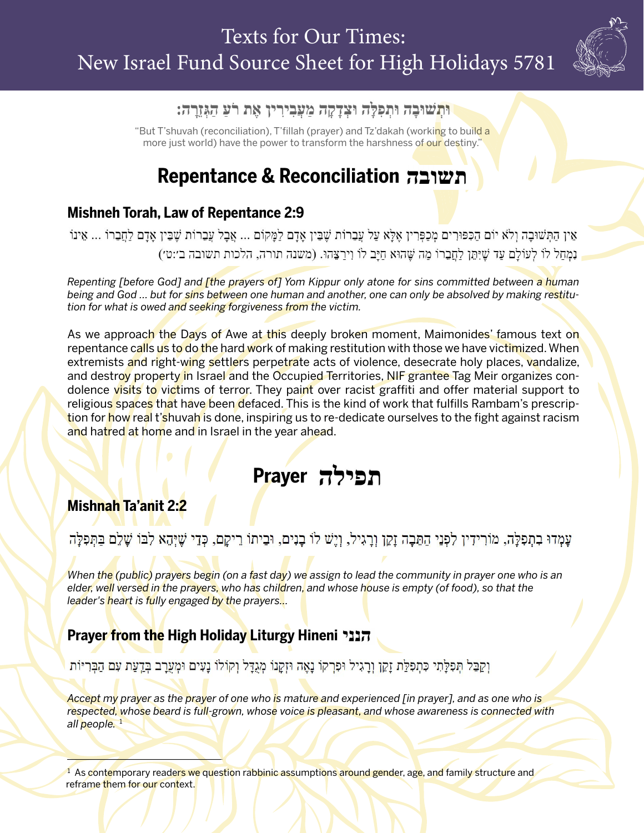

#### וּתְשׁוּבָה וּתִפְלָּה וּצְדָקָה מַעֲבִירִין אֵת רֹעַ הַגְּזֶרָה:

"But T'shuvah (reconciliation), T'fillah (prayer) and Tz'dakah (working to build a more just world) have the power to transform the harshness of our destiny."

## **Repentance & Reconciliation**

#### **Mishneh Torah, Law of Repentance 2:9**

אֵין הַתְּשׁוּבָה וְלֹא יוֹם הַכִּפּוּרִים מְכַפְּרִין אֶלָּא עַל עֲבֵרוֹת שֶׁבֵּין אָדָם לַמֲקוֹם ... אֲבָל עֲבֵרוֹת שֶׁבֵּין אָדָם לַחֲבֵרוֹ ... אֵינוֹ נְמְחַל לוֹ לְעוֹלַם עַד שֶׁיִּתֵּן לַחֲבֵרוֹ מַה שֵׁהוּא חַיַּב לוֹ וִירַצֵּהוּ. (משנה תורה, הלכות תשובה ב׳:ט׳)

*Repenting [before God] and [the prayers of] Yom Kippur only atone for sins committed between a human being and God … but for sins between one human and another, one can only be absolved by making restitution for what is owed and seeking forgiveness from the victim.* 

As we approach the Days of Awe at this deeply broken moment, Maimonides' famous text on repentance calls us to do the hard work of making restitution with those we have victimized. When extremists and right-wing settlers perpetrate acts of violence, desecrate holy places, vandalize, and destroy property in Israel and the Occupied Territories, NIF grantee Tag Meir organizes condolence visits to victims of terror. They paint over racist graffiti and offer material support to religious spaces that have been defaced. This is the kind of work that fulfills Rambam's prescription for how real t'shuvah is done, inspiring us to re-dedicate ourselves to the fight against racism and hatred at home and in Israel in the year ahead.

# **Prayer**

#### **Mishnah Ta'anit 2:2**

עָמְדוּ בִתְפִלָּה, מוֹרִידִין לִפְנֵי הַתֵּבָה זָקֵן וְרָגִיל, וְיֶשׁ לוֹ בָנִים, וּבֵיתוֹ רֵיקָם, כְּדֵי שֶׁיְהֵא לִבּוֹ שָׁלֵם בַּתְּפִלָּה

*When the (public) prayers begin (on a fast day) we assign to lead the community in prayer one who is an elder, well versed in the prayers, who has children, and whose house is empty (of food), so that the leader's heart is fully engaged by the prayers…*

#### **Prayer from the High Holiday Liturgy Hineni**

וְקַבֵּל תִּפְלַּתִי כִּתִפְלַּת זַקֵן וְרַגִיל וּפִרְקוֹ נַאֱה וּזְקַנוֹ מְגַדֵּל וְקוֹלוֹ נַעִים וּמִעֲרַב בְּדֻעַת עִם הַבְּרִיּוֹת

*Accept my prayer as the prayer of one who is mature and experienced [in prayer], and as one who is respected, whose beard is full-grown, whose voice is pleasant, and whose awareness is connected with all people.*  1

<sup>1</sup> As contemporary readers we question rabbinic assumptions around gender, age, and family structure and reframe them for our context.